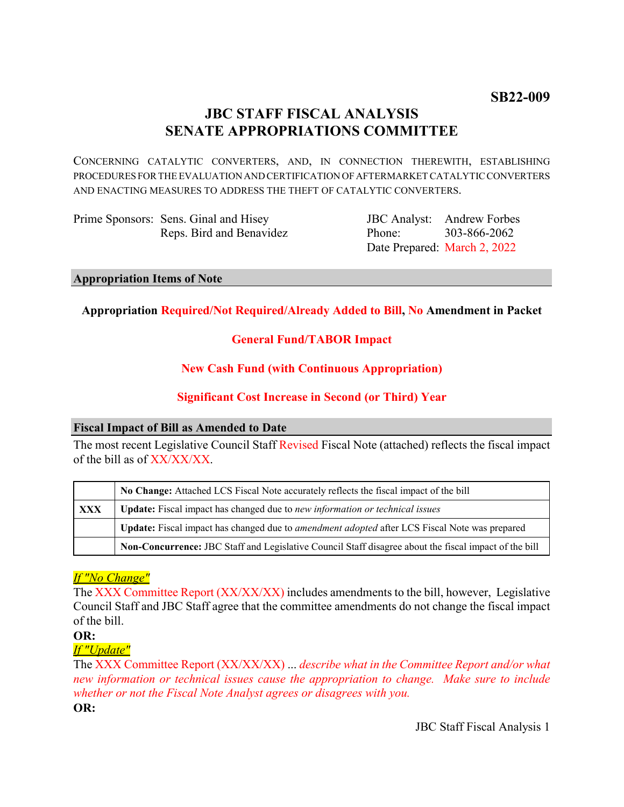**SB22-009**

# **JBC STAFF FISCAL ANALYSIS SENATE APPROPRIATIONS COMMITTEE**

CONCERNING CATALYTIC CONVERTERS, AND, IN CONNECTION THEREWITH, ESTABLISHING PROCEDURES FOR THE EVALUATION AND CERTIFICATION OF AFTERMARKET CATALYTIC CONVERTERS AND ENACTING MEASURES TO ADDRESS THE THEFT OF CATALYTIC CONVERTERS.

Prime Sponsors: Sens. Ginal and Hisey Reps. Bird and Benavidez

JBC Analyst: Andrew Forbes Phone: Date Prepared: March 2, 2022 303-866-2062

## **Appropriation Items of Note**

# **Appropriation Required/Not Required/Already Added to Bill, No Amendment in Packet**

# **General Fund/TABOR Impact**

# **New Cash Fund (with Continuous Appropriation)**

# **Significant Cost Increase in Second (or Third) Year**

# **Fiscal Impact of Bill as Amended to Date**

The most recent Legislative Council Staff Revised Fiscal Note (attached) reflects the fiscal impact of the bill as of XX/XX/XX.

|     | No Change: Attached LCS Fiscal Note accurately reflects the fiscal impact of the bill                       |
|-----|-------------------------------------------------------------------------------------------------------------|
| XXX | Update: Fiscal impact has changed due to new information or technical issues                                |
|     | <b>Update:</b> Fiscal impact has changed due to <i>amendment adopted</i> after LCS Fiscal Note was prepared |
|     | Non-Concurrence: JBC Staff and Legislative Council Staff disagree about the fiscal impact of the bill       |

# *If "No Change"*

The XXX Committee Report (XX/XX/XX) includes amendments to the bill, however, Legislative Council Staff and JBC Staff agree that the committee amendments do not change the fiscal impact of the bill.

### **OR:**

# *If "Update"*

The XXX Committee Report (XX/XX/XX) ... *describe what in the Committee Report and/or what new information or technical issues cause the appropriation to change. Make sure to include whether or not the Fiscal Note Analyst agrees or disagrees with you.*

**OR:**

JBC Staff Fiscal Analysis 1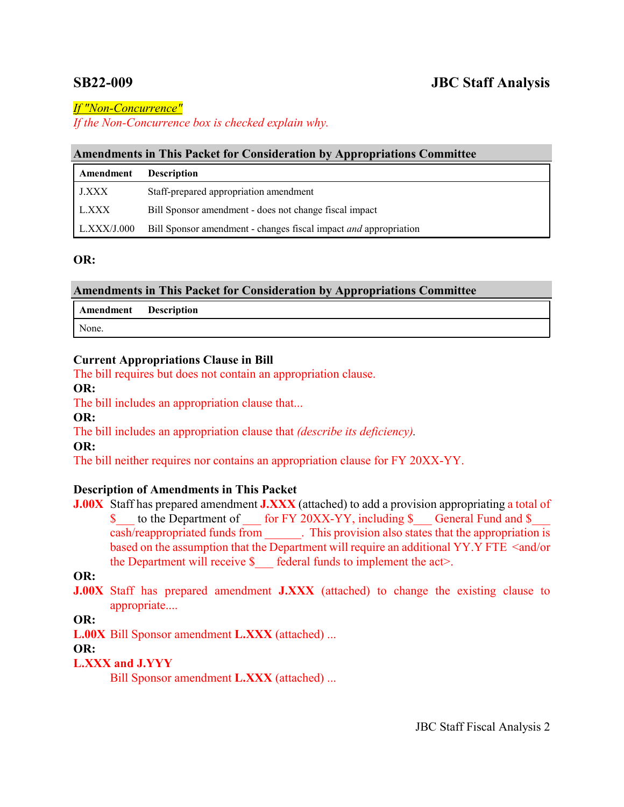# **SB22-009 JBC Staff Analysis**

*If "Non-Concurrence"*

*If the Non-Concurrence box is checked explain why.* 

# **Amendments in This Packet for Consideration by Appropriations Committee**

| Amendment          | <b>Description</b>                                               |
|--------------------|------------------------------------------------------------------|
| <b>J.XXX</b>       | Staff-prepared appropriation amendment                           |
| L.XXX              | Bill Sponsor amendment - does not change fiscal impact           |
| $\mid$ L.XXX/J.000 | Bill Sponsor amendment - changes fiscal impact and appropriation |

## **OR:**

| <b>Amendments in This Packet for Consideration by Appropriations Committee</b> |  |  |  |  |  |  |
|--------------------------------------------------------------------------------|--|--|--|--|--|--|
|--------------------------------------------------------------------------------|--|--|--|--|--|--|

**Amendment Description**

None.

# **Current Appropriations Clause in Bill**

The bill requires but does not contain an appropriation clause.

# **OR:**

The bill includes an appropriation clause that...

**OR:**

The bill includes an appropriation clause that *(describe its deficiency).*

**OR:**

The bill neither requires nor contains an appropriation clause for FY 20XX-YY.

# **Description of Amendments in This Packet**

**J.00X** Staff has prepared amendment **J.XXX** (attached) to add a provision appropriating a total of \$ to the Department of for FY 20XX-YY, including \$ General Fund and \$ cash/reappropriated funds from . This provision also states that the appropriation is based on the assumption that the Department will require an additional YY.Y FTE <and/or the Department will receive  $\delta$  federal funds to implement the act>.

**OR:**

**J.00X** Staff has prepared amendment **J.XXX** (attached) to change the existing clause to appropriate....

**OR:**

**L.00X** Bill Sponsor amendment **L.XXX** (attached) ...

**OR:**

# **L.XXX and J.YYY**

Bill Sponsor amendment **L.XXX** (attached) ...